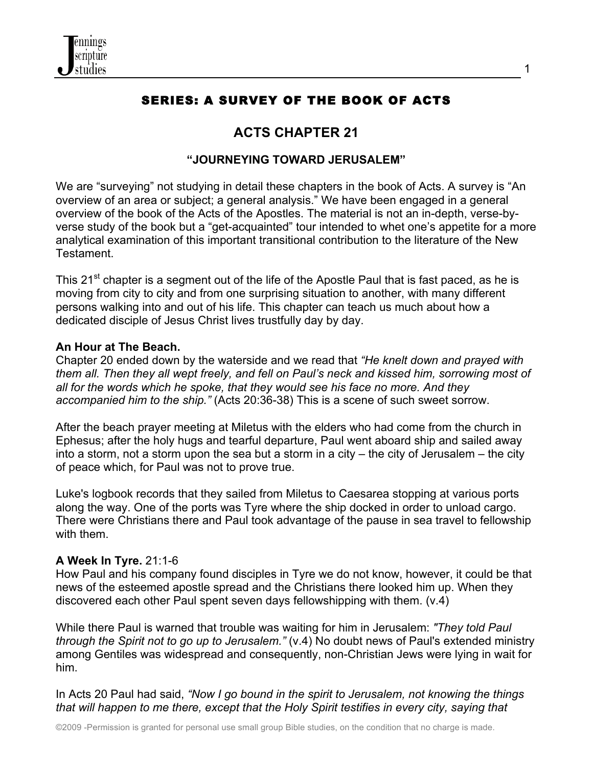

# SERIES: A SURVEY OF THE BOOK OF ACTS

# **ACTS CHAPTER 21**

## **"JOURNEYING TOWARD JERUSALEM"**

We are "surveying" not studying in detail these chapters in the book of Acts. A survey is "An overview of an area or subject; a general analysis." We have been engaged in a general overview of the book of the Acts of the Apostles. The material is not an in-depth, verse-byverse study of the book but a "get-acquainted" tour intended to whet one's appetite for a more analytical examination of this important transitional contribution to the literature of the New Testament.

This 21<sup>st</sup> chapter is a segment out of the life of the Apostle Paul that is fast paced, as he is moving from city to city and from one surprising situation to another, with many different persons walking into and out of his life. This chapter can teach us much about how a dedicated disciple of Jesus Christ lives trustfully day by day.

#### **An Hour at The Beach.**

Chapter 20 ended down by the waterside and we read that *"He knelt down and prayed with them all. Then they all wept freely, and fell on Paul's neck and kissed him, sorrowing most of all for the words which he spoke, that they would see his face no more. And they accompanied him to the ship."* (Acts 20:36-38) This is a scene of such sweet sorrow.

After the beach prayer meeting at Miletus with the elders who had come from the church in Ephesus; after the holy hugs and tearful departure, Paul went aboard ship and sailed away into a storm, not a storm upon the sea but a storm in a city – the city of Jerusalem – the city of peace which, for Paul was not to prove true.

Luke's logbook records that they sailed from Miletus to Caesarea stopping at various ports along the way. One of the ports was Tyre where the ship docked in order to unload cargo. There were Christians there and Paul took advantage of the pause in sea travel to fellowship with them.

#### **A Week In Tyre.** 21:1-6

How Paul and his company found disciples in Tyre we do not know, however, it could be that news of the esteemed apostle spread and the Christians there looked him up. When they discovered each other Paul spent seven days fellowshipping with them. (v.4)

While there Paul is warned that trouble was waiting for him in Jerusalem: *"They told Paul through the Spirit not to go up to Jerusalem."* (v.4) No doubt news of Paul's extended ministry among Gentiles was widespread and consequently, non-Christian Jews were lying in wait for him.

In Acts 20 Paul had said, *"Now I go bound in the spirit to Jerusalem, not knowing the things that will happen to me there, except that the Holy Spirit testifies in every city, saying that*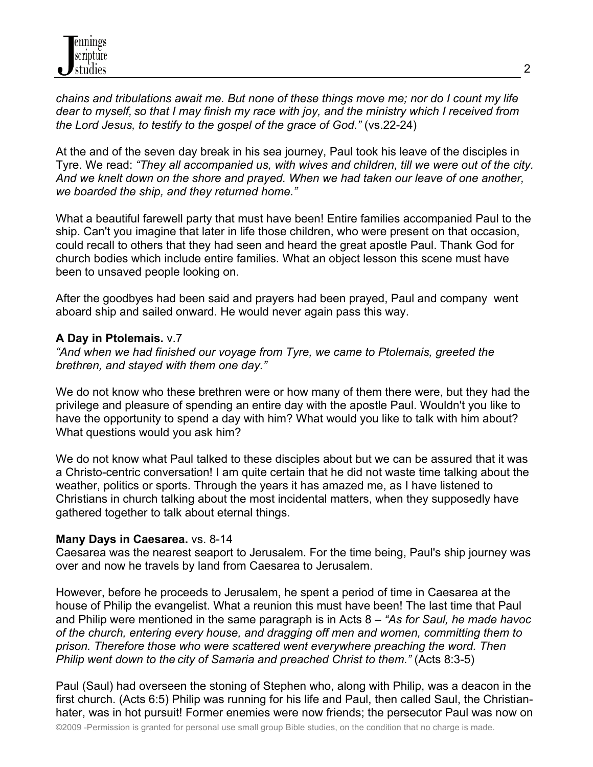*chains and tribulations await me. But none of these things move me; nor do I count my life dear to myself, so that I may finish my race with joy, and the ministry which I received from the Lord Jesus, to testify to the gospel of the grace of God."* (vs.22-24)

At the and of the seven day break in his sea journey, Paul took his leave of the disciples in Tyre. We read: *"They all accompanied us, with wives and children, till we were out of the city. And we knelt down on the shore and prayed. When we had taken our leave of one another, we boarded the ship, and they returned home."*

What a beautiful farewell party that must have been! Entire families accompanied Paul to the ship. Can't you imagine that later in life those children, who were present on that occasion, could recall to others that they had seen and heard the great apostle Paul. Thank God for church bodies which include entire families. What an object lesson this scene must have been to unsaved people looking on.

After the goodbyes had been said and prayers had been prayed, Paul and company went aboard ship and sailed onward. He would never again pass this way.

## **A Day in Ptolemais.** v.7

*"And when we had finished our voyage from Tyre, we came to Ptolemais, greeted the brethren, and stayed with them one day."*

We do not know who these brethren were or how many of them there were, but they had the privilege and pleasure of spending an entire day with the apostle Paul. Wouldn't you like to have the opportunity to spend a day with him? What would you like to talk with him about? What questions would you ask him?

We do not know what Paul talked to these disciples about but we can be assured that it was a Christo-centric conversation! I am quite certain that he did not waste time talking about the weather, politics or sports. Through the years it has amazed me, as I have listened to Christians in church talking about the most incidental matters, when they supposedly have gathered together to talk about eternal things.

#### **Many Days in Caesarea.** vs. 8-14

Caesarea was the nearest seaport to Jerusalem. For the time being, Paul's ship journey was over and now he travels by land from Caesarea to Jerusalem.

However, before he proceeds to Jerusalem, he spent a period of time in Caesarea at the house of Philip the evangelist. What a reunion this must have been! The last time that Paul and Philip were mentioned in the same paragraph is in Acts 8 – *"As for Saul, he made havoc of the church, entering every house, and dragging off men and women, committing them to prison. Therefore those who were scattered went everywhere preaching the word. Then Philip went down to the city of Samaria and preached Christ to them."* (Acts 8:3-5)

Paul (Saul) had overseen the stoning of Stephen who, along with Philip, was a deacon in the first church. (Acts 6:5) Philip was running for his life and Paul, then called Saul, the Christianhater, was in hot pursuit! Former enemies were now friends; the persecutor Paul was now on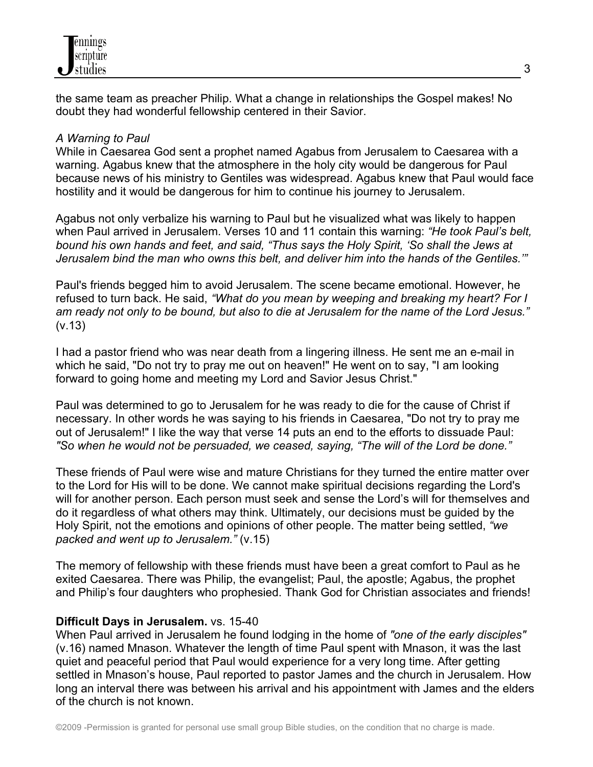the same team as preacher Philip. What a change in relationships the Gospel makes! No doubt they had wonderful fellowship centered in their Savior.

### *A Warning to Paul*

While in Caesarea God sent a prophet named Agabus from Jerusalem to Caesarea with a warning. Agabus knew that the atmosphere in the holy city would be dangerous for Paul because news of his ministry to Gentiles was widespread. Agabus knew that Paul would face hostility and it would be dangerous for him to continue his journey to Jerusalem.

Agabus not only verbalize his warning to Paul but he visualized what was likely to happen when Paul arrived in Jerusalem. Verses 10 and 11 contain this warning: *"He took Paul's belt, bound his own hands and feet, and said, "Thus says the Holy Spirit, 'So shall the Jews at Jerusalem bind the man who owns this belt, and deliver him into the hands of the Gentiles.'"*

Paul's friends begged him to avoid Jerusalem. The scene became emotional. However, he refused to turn back. He said, *"What do you mean by weeping and breaking my heart? For I am ready not only to be bound, but also to die at Jerusalem for the name of the Lord Jesus."* (v.13)

I had a pastor friend who was near death from a lingering illness. He sent me an e-mail in which he said. "Do not try to pray me out on heaven!" He went on to say. "I am looking forward to going home and meeting my Lord and Savior Jesus Christ."

Paul was determined to go to Jerusalem for he was ready to die for the cause of Christ if necessary. In other words he was saying to his friends in Caesarea, "Do not try to pray me out of Jerusalem!" I like the way that verse 14 puts an end to the efforts to dissuade Paul: *"So when he would not be persuaded, we ceased, saying, "The will of the Lord be done."*

These friends of Paul were wise and mature Christians for they turned the entire matter over to the Lord for His will to be done. We cannot make spiritual decisions regarding the Lord's will for another person. Each person must seek and sense the Lord's will for themselves and do it regardless of what others may think. Ultimately, our decisions must be guided by the Holy Spirit, not the emotions and opinions of other people. The matter being settled, *"we packed and went up to Jerusalem."* (v.15)

The memory of fellowship with these friends must have been a great comfort to Paul as he exited Caesarea. There was Philip, the evangelist; Paul, the apostle; Agabus, the prophet and Philip's four daughters who prophesied. Thank God for Christian associates and friends!

## **Difficult Days in Jerusalem.** vs. 15-40

When Paul arrived in Jerusalem he found lodging in the home of *"one of the early disciples"* (v.16) named Mnason. Whatever the length of time Paul spent with Mnason, it was the last quiet and peaceful period that Paul would experience for a very long time. After getting settled in Mnason's house, Paul reported to pastor James and the church in Jerusalem. How long an interval there was between his arrival and his appointment with James and the elders of the church is not known.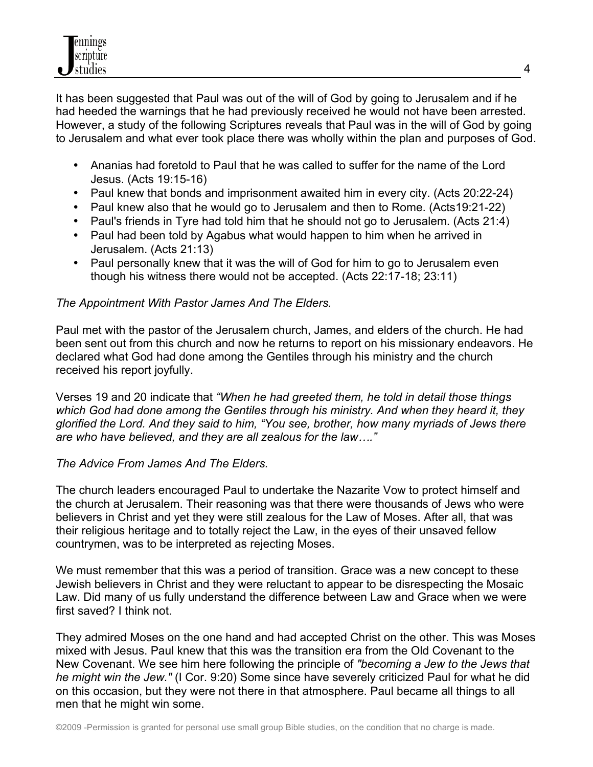It has been suggested that Paul was out of the will of God by going to Jerusalem and if he had heeded the warnings that he had previously received he would not have been arrested. However, a study of the following Scriptures reveals that Paul was in the will of God by going to Jerusalem and what ever took place there was wholly within the plan and purposes of God.

- Ananias had foretold to Paul that he was called to suffer for the name of the Lord Jesus. (Acts 19:15-16)
- Paul knew that bonds and imprisonment awaited him in every city. (Acts 20:22-24)
- Paul knew also that he would go to Jerusalem and then to Rome. (Acts19:21-22)
- Paul's friends in Tyre had told him that he should not go to Jerusalem. (Acts 21:4)
- Paul had been told by Agabus what would happen to him when he arrived in Jerusalem. (Acts 21:13)
- Paul personally knew that it was the will of God for him to go to Jerusalem even though his witness there would not be accepted. (Acts 22:17-18; 23:11)

## *The Appointment With Pastor James And The Elders.*

Paul met with the pastor of the Jerusalem church, James, and elders of the church. He had been sent out from this church and now he returns to report on his missionary endeavors. He declared what God had done among the Gentiles through his ministry and the church received his report joyfully.

Verses 19 and 20 indicate that *"When he had greeted them, he told in detail those things which God had done among the Gentiles through his ministry. And when they heard it, they glorified the Lord. And they said to him, "You see, brother, how many myriads of Jews there are who have believed, and they are all zealous for the law…."*

#### *The Advice From James And The Elders.*

The church leaders encouraged Paul to undertake the Nazarite Vow to protect himself and the church at Jerusalem. Their reasoning was that there were thousands of Jews who were believers in Christ and yet they were still zealous for the Law of Moses. After all, that was their religious heritage and to totally reject the Law, in the eyes of their unsaved fellow countrymen, was to be interpreted as rejecting Moses.

We must remember that this was a period of transition. Grace was a new concept to these Jewish believers in Christ and they were reluctant to appear to be disrespecting the Mosaic Law. Did many of us fully understand the difference between Law and Grace when we were first saved? I think not.

They admired Moses on the one hand and had accepted Christ on the other. This was Moses mixed with Jesus. Paul knew that this was the transition era from the Old Covenant to the New Covenant. We see him here following the principle of *"becoming a Jew to the Jews that he might win the Jew."* (I Cor. 9:20) Some since have severely criticized Paul for what he did on this occasion, but they were not there in that atmosphere. Paul became all things to all men that he might win some.